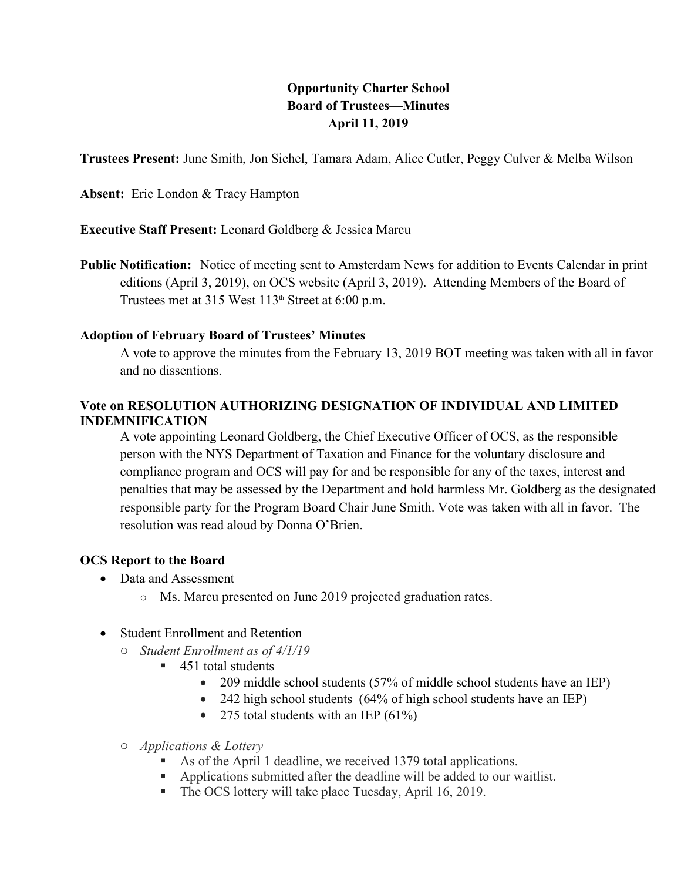# **Opportunity Charter School<br>Board of Trustees—Minutes<br>April 11, 2019**<br>hel, Tamara Adam, Alice Cutler, Peggy Cu<br>on **Board of Trustees—Minutes April 11, 2019**

**Trustees Present:** June Smith, Jon Sichel, Tamara Adam, Alice Cutler, Peggy Culver & Melba Wilson

**Absent:** Eric London & Tracy Hampton

**Executive Staff Present:** Leonard Goldberg & Jessica Marcu

**Public Notification:** Notice of meeting sent to Amsterdam News for addition to Events Calendar in print editions (April 3, 2019), on OCS website (April 3, 2019). Attending Members of the Board of Trustees met at 315 West  $113<sup>th</sup>$  Street at 6:00 p.m.

## **Adoption of February Board of Trustees' Minutes**

A vote to approve the minutes from the February 13, 2019 BOT meeting was taken with all in favor and no dissentions.

## **Vote on RESOLUTION AUTHORIZING DESIGNATION OF INDIVIDUAL AND LIMITED INDEMNIFICATION**

A vote appointing Leonard Goldberg, the Chief Executive Officer of OCS, as the responsible person with the NYS Department of Taxation and Finance for the voluntary disclosure and compliance program and OCS will pay for and be responsible for any of the taxes, interest and penalties that may be assessed by the Department and hold harmless Mr. Goldberg as the designated responsible party for the Program Board Chair June Smith. Vote was taken with all in favor. The resolution was read aloud by Donna O'Brien.

# **OCS Report to the Board**

- Data and Assessment
	- o Ms. Marcu presented on June 2019 projected graduation rates.
- Student Enrollment and Retention
	- o *Student Enrollment as of 4/1/19*
		- 451 total students
			- 209 middle school students (57% of middle school students have an IEP)
			- 242 high school students (64% of high school students have an IEP)
			- 275 total students with an IEP  $(61\%)$
	- o *Applications & Lottery*
		- As of the April 1 deadline, we received 1379 total applications.
		- Applications submitted after the deadline will be added to our waitlist.
		- The OCS lottery will take place Tuesday, April 16, 2019.